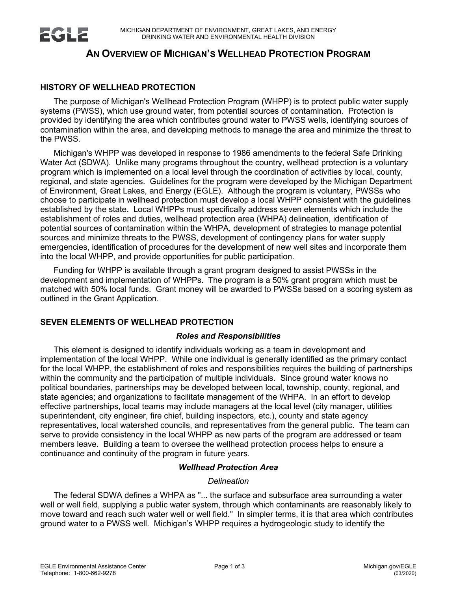# **AN OVERVIEW OF MICHIGAN'S WELLHEAD PROTECTION PROGRAM**

# **HISTORY OF WELLHEAD PROTECTION**

The purpose of Michigan's Wellhead Protection Program (WHPP) is to protect public water supply systems (PWSS), which use ground water, from potential sources of contamination. Protection is provided by identifying the area which contributes ground water to PWSS wells, identifying sources of contamination within the area, and developing methods to manage the area and minimize the threat to the PWSS.

Michigan's WHPP was developed in response to 1986 amendments to the federal Safe Drinking Water Act (SDWA). Unlike many programs throughout the country, wellhead protection is a voluntary program which is implemented on a local level through the coordination of activities by local, county, regional, and state agencies. Guidelines for the program were developed by the Michigan Department of Environment, Great Lakes, and Energy (EGLE). Although the program is voluntary, PWSSs who choose to participate in wellhead protection must develop a local WHPP consistent with the guidelines established by the state. Local WHPPs must specifically address seven elements which include the establishment of roles and duties, wellhead protection area (WHPA) delineation, identification of potential sources of contamination within the WHPA, development of strategies to manage potential sources and minimize threats to the PWSS, development of contingency plans for water supply emergencies, identification of procedures for the development of new well sites and incorporate them into the local WHPP, and provide opportunities for public participation.

Funding for WHPP is available through a grant program designed to assist PWSSs in the development and implementation of WHPPs. The program is a 50% grant program which must be matched with 50% local funds. Grant money will be awarded to PWSSs based on a scoring system as outlined in the Grant Application.

# **SEVEN ELEMENTS OF WELLHEAD PROTECTION**

#### *Roles and Responsibilities*

This element is designed to identify individuals working as a team in development and implementation of the local WHPP. While one individual is generally identified as the primary contact for the local WHPP, the establishment of roles and responsibilities requires the building of partnerships within the community and the participation of multiple individuals. Since ground water knows no political boundaries, partnerships may be developed between local, township, county, regional, and state agencies; and organizations to facilitate management of the WHPA. In an effort to develop effective partnerships, local teams may include managers at the local level (city manager, utilities superintendent, city engineer, fire chief, building inspectors, etc.), county and state agency representatives, local watershed councils, and representatives from the general public. The team can serve to provide consistency in the local WHPP as new parts of the program are addressed or team members leave. Building a team to oversee the wellhead protection process helps to ensure a continuance and continuity of the program in future years.

#### *Wellhead Protection Area*

### *Delineation*

The federal SDWA defines a WHPA as "... the surface and subsurface area surrounding a water well or well field, supplying a public water system, through which contaminants are reasonably likely to move toward and reach such water well or well field." In simpler terms, it is that area which contributes ground water to a PWSS well. Michigan's WHPP requires a hydrogeologic study to identify the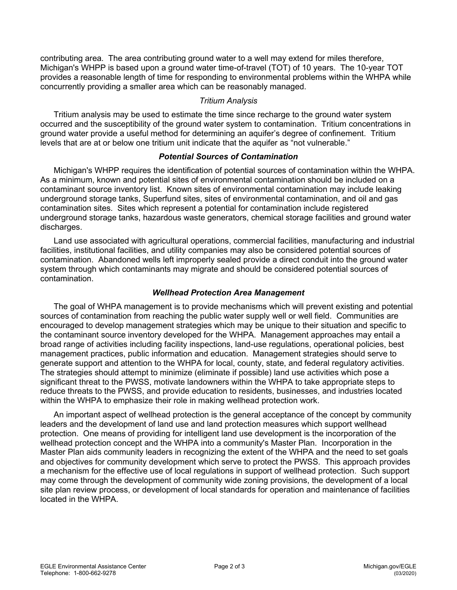contributing area. The area contributing ground water to a well may extend for miles therefore, Michigan's WHPP is based upon a ground water time-of-travel (TOT) of 10 years. The 10-year TOT provides a reasonable length of time for responding to environmental problems within the WHPA while concurrently providing a smaller area which can be reasonably managed.

### *Tritium Analysis*

Tritium analysis may be used to estimate the time since recharge to the ground water system occurred and the susceptibility of the ground water system to contamination. Tritium concentrations in ground water provide a useful method for determining an aquifer's degree of confinement. Tritium levels that are at or below one tritium unit indicate that the aquifer as "not vulnerable."

#### *Potential Sources of Contamination*

Michigan's WHPP requires the identification of potential sources of contamination within the WHPA. As a minimum, known and potential sites of environmental contamination should be included on a contaminant source inventory list. Known sites of environmental contamination may include leaking underground storage tanks, Superfund sites, sites of environmental contamination, and oil and gas contamination sites. Sites which represent a potential for contamination include registered underground storage tanks, hazardous waste generators, chemical storage facilities and ground water discharges.

Land use associated with agricultural operations, commercial facilities, manufacturing and industrial facilities, institutional facilities, and utility companies may also be considered potential sources of contamination. Abandoned wells left improperly sealed provide a direct conduit into the ground water system through which contaminants may migrate and should be considered potential sources of contamination.

### *Wellhead Protection Area Management*

The goal of WHPA management is to provide mechanisms which will prevent existing and potential sources of contamination from reaching the public water supply well or well field. Communities are encouraged to develop management strategies which may be unique to their situation and specific to the contaminant source inventory developed for the WHPA. Management approaches may entail a broad range of activities including facility inspections, land-use regulations, operational policies, best management practices, public information and education. Management strategies should serve to generate support and attention to the WHPA for local, county, state, and federal regulatory activities. The strategies should attempt to minimize (eliminate if possible) land use activities which pose a significant threat to the PWSS, motivate landowners within the WHPA to take appropriate steps to reduce threats to the PWSS, and provide education to residents, businesses, and industries located within the WHPA to emphasize their role in making wellhead protection work.

An important aspect of wellhead protection is the general acceptance of the concept by community leaders and the development of land use and land protection measures which support wellhead protection. One means of providing for intelligent land use development is the incorporation of the wellhead protection concept and the WHPA into a community's Master Plan. Incorporation in the Master Plan aids community leaders in recognizing the extent of the WHPA and the need to set goals and objectives for community development which serve to protect the PWSS. This approach provides a mechanism for the effective use of local regulations in support of wellhead protection. Such support may come through the development of community wide zoning provisions, the development of a local site plan review process, or development of local standards for operation and maintenance of facilities located in the WHPA.